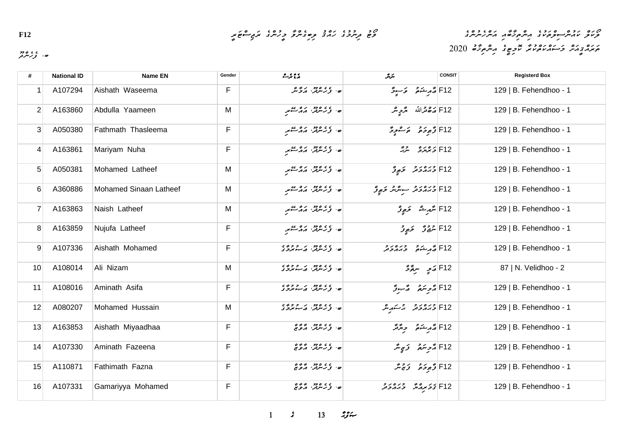*sCw7q7s5w7m< o<n9nOoAw7o< sCq;mAwBoEw7q<m; wBm;vB 2020*<br>*په ټومن د سوم پوره پورې پر سوم د سره پره و*لا

| <b>33 O L L</b><br>ورسرته | ە. |
|---------------------------|----|
|                           |    |

| #              | <b>National ID</b> | Name EN                | Gender       | بروبره                                     | سرير                                                 | <b>CONSIT</b> | <b>Registerd Box</b>   |
|----------------|--------------------|------------------------|--------------|--------------------------------------------|------------------------------------------------------|---------------|------------------------|
| -1             | A107294            | Aishath Waseema        | F            | ە بۇر يوتۇ، ئەۋىتر                         | F12 مەم ھۇسو <i>م</i>                                |               | 129   B. Fehendhoo - 1 |
| 2              | A163860            | Abdulla Yaameen        | M            | ه ورسربن ماه عصب                           | F12 مَەھْتَراللە مَ <i>زْج</i> ىر                    |               | 129   B. Fehendhoo - 1 |
| $\mathbf{3}$   | A050380            | Fathmath Thasleema     | $\mathsf{F}$ | ه کی میں دو دہ ہے۔                         | F12 وَج <i>وحَمْ - مَ سُوح</i> َّ                    |               | 129   B. Fehendhoo - 1 |
| 4              | A163861            | Mariyam Nuha           | $\mathsf{F}$ | ه ورسربو ده به به                          | F12 وَيُرْتَزَى مِنْزَنَّہُ                          |               | 129   B. Fehendhoo - 1 |
| 5 <sup>5</sup> | A050381            | Mohamed Latheef        | M            | ه و و دور ده به سور                        | F12 دېم ديگر توپور                                   |               | 129   B. Fehendhoo - 1 |
| 6              | A360886            | Mohamed Sinaan Latheef | M            | ے میں دوسرے میں ہے۔                        | F12 دېم دې سوش توپو و                                |               | 129   B. Fehendhoo - 1 |
| 7              | A163863            | Naish Latheef          | M            | ه کام دود بره مهر                          | F12 سَمَدِ مَشَرِ وَهِ وَ                            |               | 129   B. Fehendhoo - 1 |
| 8              | A163859            | Nujufa Latheef         | F            | ه کی میں دو ہے ۔                           | F12 برْيْرٌ كَمَ بِوَرْ                              |               | 129   B. Fehendhoo - 1 |
| 9              | A107336            | Aishath Mohamed        | F            | ه ورسربو د دوه و                           | F12 مەم ھەم <i>25.25 كە</i>                          |               | 129   B. Fehendhoo - 1 |
| 10             | A108014            | Ali Nizam              | M            | ه کاماه در دوه د<br>ه کارسربن په سوبرو د   | F12 ر <sub>َم</sub> ح سِمَّرَ E                      |               | 87   N. Velidhoo - 2   |
| 11             | A108016            | Aminath Asifa          | F            | ه ۶۵۵ وه د ۱۶۶۶ ور                         | F12 أُمَّ <i>جِسَعَةً فَيَ</i> سِوَّرُ               |               | 129   B. Fehendhoo - 1 |
| 12             | A080207            | Mohamed Hussain        | M            | ه کور ده در دود و در د                     | F12 دېم دي. د مشهد شر                                |               | 129   B. Fehendhoo - 1 |
| 13             | A163853            | Aishath Miyaadhaa      | $\mathsf{F}$ | ه کاموده پوه<br>ه کرس                      | F12 صَّدِيشَةَ وِيَرْتَدُ                            |               | 129   B. Fehendhoo - 1 |
| 14             | A107330            | Aminath Fazeena        | F            | ے یہ وجہ مجموع<br>صدر <i>دسر</i> تر، مرکزی | F12 مَّ <i>جِ مَنْعَ</i> جُ فَ <sub>كَمَ</sub> مِّدُ |               | 129   B. Fehendhoo - 1 |
| 15             | A110871            | Fathimath Fazna        | $\mathsf{F}$ | ه ورسربر، دوه                              | F12 تَ <i>مُجوحَمْ تَیَ مَّ</i> رُ                   |               | 129   B. Fehendhoo - 1 |
| 16             | A107331            | Gamariyya Mohamed      | $\mathsf F$  | ه ورس در دوه<br>ه ورس در مروم              | F12 توتوپرېژ ورورونر                                 |               | 129   B. Fehendhoo - 1 |

*1 s 13 <i>n*<sub>s</sub>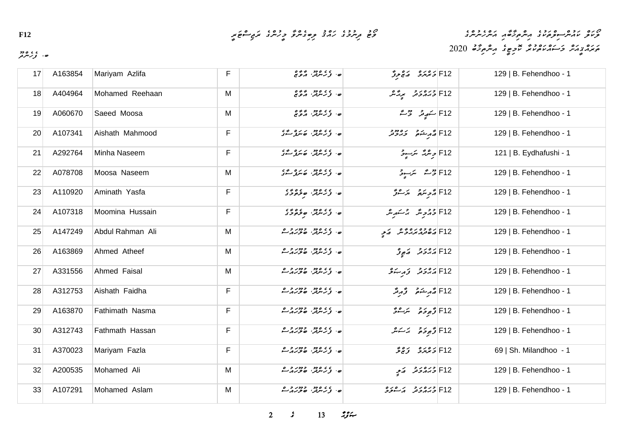*sCw7q7s5w7m< o<n9nOoAw7o< sCq;mAwBoEw7q<m; wBm;vB* م من المرة المرة المرة المرجع المرجع في المركبة 2020<br>مجم*د المريض المربوط المربع المرجع في المراجع المركبة* 

| 17 | A163854 | Mariyam Azlifa   | F | ھ ژر سربر، مر <i>و</i> ج                  | F12 5پر <i>وگ می کارو</i> گر                | 129   B. Fehendhoo - 1  |
|----|---------|------------------|---|-------------------------------------------|---------------------------------------------|-------------------------|
| 18 | A404964 | Mohamed Reehaan  | M | ه ورسربر، دوه<br>ه ورسربر، مروج           | F12 <i>وبروونر بربڈ</i> یر                  | 129   B. Fehendhoo - 1  |
| 19 | A060670 | Saeed Moosa      | M | ه وره دو و وه<br>ه ورس                    | F12 ستہوٹر ترجمہ                            | 129   B. Fehendhoo - 1  |
| 20 | A107341 | Aishath Mahmood  | F | ە ، دەرە بەرە بەر<br>ھ · زىرىرى ھىرزىسى   | F12 مەم ھەدىرە بەر دەرد                     | 129   B. Fehendhoo - 1  |
| 21 | A292764 | Minha Naseem     | F | ە ، دەرە بەرە بەر<br>ھ · زىرىرى ھىرزىسى   | F12 وِسْمَّةً سَرَسٍوَّ                     | 121   B. Eydhafushi - 1 |
| 22 | A078708 | Moosa Naseem     | M | ە بىرە بىرە ئەرەپ ئەتە                    | F12 فَرْسٌ سَرَسِيرَ                        | 129   B. Fehendhoo - 1  |
| 23 | A110920 | Aminath Yasfa    | F | ه کی میں صوبے دی۔<br>مستور سربر صوبے دی   | F12 أُمَّ جِسَمَةً مَرَّسْتَرَّ             | 129   B. Fehendhoo - 1  |
| 24 | A107318 | Moomina Hussain  | F | ه وه دو وه وه وه<br>ه ورس                 | F12 دُمْ دِسْرَ مُرْسَهِ مْرْ               | 129   B. Fehendhoo - 1  |
| 25 | A147249 | Abdul Rahman Ali | M | ه ورسربر دور ده در ده د                   | F12 <sub>مەھ</sub> ىر <i>مەدە بىرى مۇ</i> ر | 129   B. Fehendhoo - 1  |
| 26 | A163869 | Ahmed Atheef     | M | ם - ניכונים פרניקים<br>פי ניכונים פיכול - | F12 كەندى قىرىمى ئىچە ئى                    | 129   B. Fehendhoo - 1  |
| 27 | A331556 | Ahmed Faisal     | M | ه ورود دور ده د                           | F12 كەيرى قەرىبكى ئى                        | 129   B. Fehendhoo - 1  |
| 28 | A312753 | Aishath Faidha   | F | ه ور دور دور ده<br>ه ورس هور د            | F12 صَمِيصَة وَمِقَّ                        | 129   B. Fehendhoo - 1  |
| 29 | A163870 | Fathimath Nasma  | F | ه ورسربر دور ده د                         | F12 <i>وُجِعَة مَن</i> َسْرَةُ              | 129   B. Fehendhoo - 1  |
| 30 | A312743 | Fathmath Hassan  | F | ه ورسربر دور ده د                         | F12 وَجِعَة مَرَسَة مَد                     | 129   B. Fehendhoo - 1  |
| 31 | A370023 | Mariyam Fazla    | F | ם - נישית - דרך דרים<br>פי נישית          | F12 كەبەد ئەتى ئى                           | 69   Sh. Milandhoo - 1  |
| 32 | A200535 | Mohamed Ali      | M | ם - ניכונים ברביבים<br>פי ניכונים בינה    | F12  <i>وټرونو ټ</i> و                      | 129   B. Fehendhoo - 1  |
| 33 | A107291 | Mohamed Aslam    | M | ם מי נציעת פרנגם.<br>כי נציעת             | F12 وبره در مرکبوتر                         | 129   B. Fehendhoo - 1  |

**2** *s* **13** *z***<sub>***s***</sub>**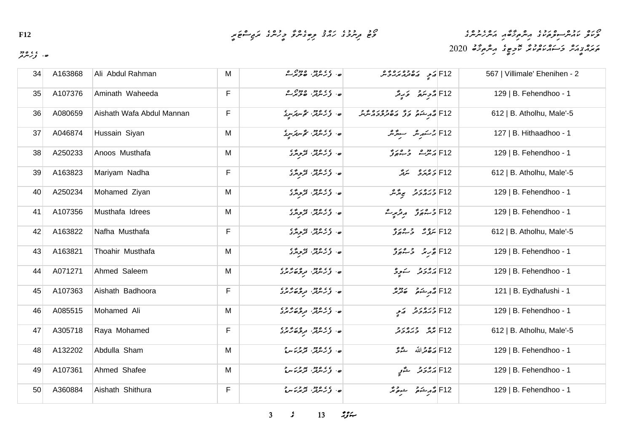*sCw7q7s5w7m< o<n9nOoAw7o< sCq;mAwBoEw7q<m; wBm;vB* م من المرة المرة المرة المرجع المرجع في المركبة 2020<br>مجم*د المريض المربوط المربع المرجع في المراجع المركبة* 

| 34 | A163868 | Ali Abdul Rahman          | M           | ه وروسربر، موجوب ه<br>مستورسربر، مصوبر ب                                                                                                                                                                                         | F12 كەير كەھە <i>ر مەمۇس</i>                                                                                  | 567   Villimale' Ehenihen - 2 |
|----|---------|---------------------------|-------------|----------------------------------------------------------------------------------------------------------------------------------------------------------------------------------------------------------------------------------|---------------------------------------------------------------------------------------------------------------|-------------------------------|
| 35 | A107376 | Aminath Waheeda           | F           | ه کی موجود وجود و                                                                                                                                                                                                                | F12 مُجِسَع <i>ة عَ</i> بِيعً                                                                                 | 129   B. Fehendhoo - 1        |
| 36 | A080659 | Aishath Wafa Abdul Mannan | F           | ے میں دوسر پی موقد سرید کے مقدم میں اس کے اس کے اس کے مقدم میں اس کے مقدم کے مقدم کے مقدم کے مقدم کے مقدم کے م<br>مقدم اس کے مقدم کے مقدم کو مقدم کر سرید کر مقدم کر سرید کے مقدم کے مقدم کر کر کے مقدم کر کر کے مقدم کر کر کر ک | F12 <i>ق.م.ختمي وفي م</i> ەھ <i>مرح م</i> ەشرىر                                                               | 612   B. Atholhu, Male'-5     |
| 37 | A046874 | Hussain Siyan             | M           | ه و و در مرد از محمد مرد برد .<br>اما از در مرد از محمد مرد برد .                                                                                                                                                                | F12 پرڪ <i>مب</i> هر سينگر شر                                                                                 | 127   B. Hithaadhoo - 1       |
| 38 | A250233 | Anoos Musthafa            | M           | ه وه وه په وه<br>د ورس                                                                                                                                                                                                           | F12 كەنترىشە بەر <i>مەدۇ</i>                                                                                  | 129   B. Fehendhoo - 1        |
| 39 | A163823 | Mariyam Nadha             | $\mathsf F$ | ه وره ده ده و ده و د                                                                                                                                                                                                             | F12 كەبەد ئەر                                                                                                 | 612   B. Atholhu, Male'-5     |
| 40 | A250234 | Mohamed Ziyan             | M           | ے ، وہ سربر، ترجہ پر ،<br>ے : ورسربر، ترجہ د                                                                                                                                                                                     | F12  32.5 قر سم پڑ شر                                                                                         | 129   B. Fehendhoo - 1        |
| 41 | A107356 | Musthafa Idrees           | M           | ه وره ده ده و ده و د                                                                                                                                                                                                             | F12 دېسمبوتو په مرسي په ۱۳                                                                                    | 129   B. Fehendhoo - 1        |
| 42 | A163822 | Nafha Musthafa            | F           | ه وره دو در ده ده د                                                                                                                                                                                                              | F12 يَرْدُ بَرْ وَسِبْهِ تَرْ                                                                                 | 612   B. Atholhu, Male'-5     |
| 43 | A163821 | Thoahir Musthafa          | M           | ے ، ورد ہے ۔<br>ے ورسربن ترویزی                                                                                                                                                                                                  | F12 ۾َرِيزُ وَيَبْهِوَ                                                                                        | 129   B. Fehendhoo - 1        |
| 44 | A071271 | Ahmed Saleem              | M           | ه ورسربر ورود و .<br>ه ورسربر تروه رس                                                                                                                                                                                            | F12 <i>چرچونل سکو</i> ی                                                                                       | 129   B. Fehendhoo - 1        |
| 45 | A107363 | Aishath Badhoora          | F           | ه ورسربر ورود و .<br>ه ورسربر تروه رس                                                                                                                                                                                            | F12 مەم ئىستىم ھەمدىمە                                                                                        | 121   B. Eydhafushi - 1       |
| 46 | A085515 | Mohamed Ali               | M           | ه وه ودو د ورو و و .<br>د ورسربر د د وه ريو .                                                                                                                                                                                    | F12 ديره ديو که پر                                                                                            | 129   B. Fehendhoo - 1        |
| 47 | A305718 | Raya Mohamed              | $\mathsf F$ | ه وه ودو.<br>ده و رسربر الرخو <i>ه ر</i> سر                                                                                                                                                                                      | F12 پژگر وره در                                                                                               | 612   B. Atholhu, Male'-5     |
| 48 | A132202 | Abdulla Sham              | M           | ە ، ئ <i>ۇر بىرە بىرە بىر بىرىدى.</i><br>ھ <i>، ئۇر بىرى ئۇ بىرىدى</i> بىر                                                                                                                                                       | F12 رَصْحَراللَّه شَرْحْ                                                                                      | 129   B. Fehendhoo - 1        |
| 49 | A107361 | Ahmed Shafee              | M           | ے میں دوسر ہو دیا ہے۔<br>جن کی سربل، تر ہوتا س                                                                                                                                                                                   | F12 كەنزى ئىگەر يىلغان بىر كىلىن بىر ئىستان ئىلان بىر كىلەت بىر كىلەت كىلەت كىلەت كىلەت كىلەت كىلاش كىلاش كىل | 129   B. Fehendhoo - 1        |
| 50 | A360884 | Aishath Shithura          | F           | ے ے ووج ہو جے ہے<br>ن کی سربل کر مرکز س                                                                                                                                                                                          | F12 مُرِيشَة مُوتَرَمٌّة –                                                                                    | 129   B. Fehendhoo - 1        |

**3** *s* **13** *z***<sub>***s***</sub>** *z***<sub>***s***</sub>** 

*r> 0 c c*<br>@*. یخ رسم ق*ر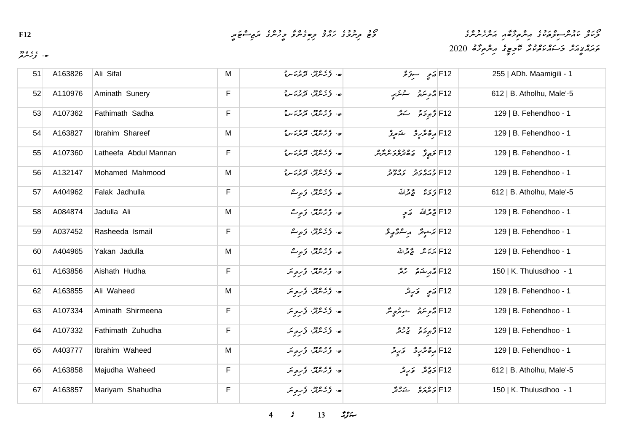*sCw7q7s5w7m< o<n9nOoAw7o< sCq;mAwBoEw7q<m; wBm;vB* م من المرة المرة المرة المرجع المرجع في المركبة 2020<br>مجم*د المريض المربوط المربع المرجع في المراجع المركبة* 

| 51 | A163826 | Ali Sifal             | M            | ه کی ده در بدور سره<br>ه کی سرفر تربر تا سره                                                                                                                                                                                     | F12  پَنم سِوَءٌ                             | 255   ADh. Maamigili - 1  |
|----|---------|-----------------------|--------------|----------------------------------------------------------------------------------------------------------------------------------------------------------------------------------------------------------------------------------|----------------------------------------------|---------------------------|
| 52 | A110976 | Aminath Sunery        | F            | ے میں دوسر ہے جو مارے میں تھی تھی تھی اور اس کے ان کے مارچ کے ان کے ان کے ان کے ان کے مارچ کے ان کا ان کا ان ک<br>منابع اللہ کا ان کا ان کے مارچ کے مارچ کے مارچ کے مارچ کے مارچ کے مارچ کے مارچ کے مارچ کے مارچ کے مارچ کے مارچ | F12 مُجْرِسَمُ مَسْتَمَبِّرِ                 | 612   B. Atholhu, Male'-5 |
| 53 | A107362 | Fathimath Sadha       | $\mathsf{F}$ | ے ے مجمع ہو جو ہے۔<br>جن کی سربل کر مرکز س                                                                                                                                                                                       | F12 رُج <i>وحَة</i> سَتَقَر                  | 129   B. Fehendhoo - 1    |
| 54 | A163827 | Ibrahim Shareef       | M            | ے میں دوسرے دیے ہے۔<br>جن وار سرفراء افریقران س                                                                                                                                                                                  | F12 مەھەرى ھەمرى                             | 129   B. Fehendhoo - 1    |
| 55 | A107360 | Latheefa Abdul Mannan | $\mathsf{F}$ | ە ئەمەدە بىرە بىرى.<br>مەنزىر سربىر ئىرىمى ئىس                                                                                                                                                                                   | F12 <sub>خبرو</sub> ژ مەھىر <i>و دىش</i> ر   | 129   B. Fehendhoo - 1    |
| 56 | A132147 | Mohamed Mahmood       | M            | ە بىرە ئەرەد بىرە ئەرىر د                                                                                                                                                                                                        | F12 ويرەرو بەھەد                             | 129   B. Fehendhoo - 1    |
| 57 | A404962 | Falak Jadhulla        | $\mathsf{F}$ | ە ، ئەرەدىنى ئەم ب                                                                                                                                                                                                               | F12 وَتَوَمَّدُ مَعَ قَرْاللّه               | 612   B. Atholhu, Male'-5 |
| 58 | A084874 | Jadulla Ali           | $\mathsf{M}$ | ە ئەر سرتىر، ئەم ب                                                                                                                                                                                                               | F12   قَوْمَرْاللّه     مَرْمِرِ             | 129   B. Fehendhoo - 1    |
| 59 | A037452 | Rasheeda Ismail       | $\mathsf F$  | ه ورس ده چ                                                                                                                                                                                                                       | F12 بَرَحْدٍ مَّر مِرْجُوَّدٍ وَ             | 129   B. Fehendhoo - 1    |
| 60 | A404965 | Yakan Jadulla         | M            | ە ئەر سرتىر، ئەم ب                                                                                                                                                                                                               | F12 بَرَىزَ سَرْ مَحَرَّدُ اللَّه            | 129   B. Fehendhoo - 1    |
| 61 | A163856 | Aishath Hudha         | $\mathsf F$  | ە ، ئەرەپىق ۋىرەپتى                                                                                                                                                                                                              | F12 حَمدٍ شَمَعَ حَمَدَ                      | 150   K. Thulusdhoo - 1   |
| 62 | A163855 | Ali Waheed            | M            | ه کارمربل کرده ش                                                                                                                                                                                                                 | F12 <i>ھَجِ</i> حَرِيْتُرُ                   | 129   B. Fehendhoo - 1    |
| 63 | A107334 | Aminath Shirmeena     | $\mathsf F$  | ه کارمربر کردیگر                                                                                                                                                                                                                 | F12 مُجرِسَعُ مُسْتَعِبِّرَ مِسَّر           | 129   B. Fehendhoo - 1    |
| 64 | A107332 | Fathimath Zuhudha     | $\mathsf{F}$ | ه کارمربل کرده ش                                                                                                                                                                                                                 | F12 گ <sub>ۇ</sub> چەققى ئەرگەگە             | 129   B. Fehendhoo - 1    |
| 65 | A403777 | Ibrahim Waheed        | M            | ه کارمربل کرده ش                                                                                                                                                                                                                 | F12 <sub>م</sub> ەمگرى <sub>د</sub> ۇ كەبەتر | 129   B. Fehendhoo - 1    |
| 66 | A163858 | Majudha Waheed        | $\mathsf{F}$ | ه کارمربل کرده ش                                                                                                                                                                                                                 | F12 وَقِ <sub>قَ</sub> رَ وَرِيْرَ           | 612   B. Atholhu, Male'-5 |
| 67 | A163857 | Mariyam Shahudha      | $\mathsf F$  | ه کارمربر کردیگر                                                                                                                                                                                                                 | F12 وَيُرْتَزَرُّ شَرَكْتَرُ                 | 150   K. Thulusdhoo - 1   |

*4 s* 13 *i*<sub>s</sub>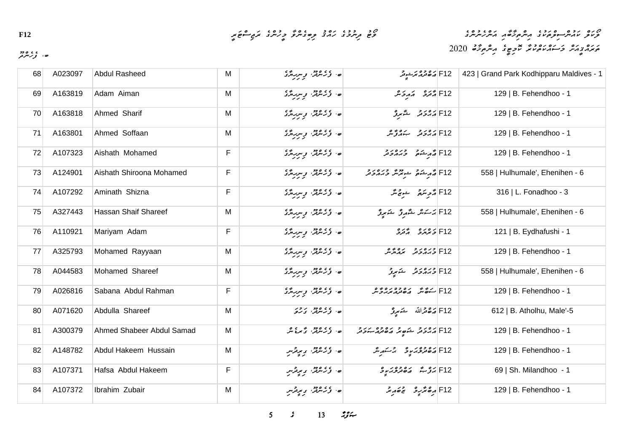*sCw7q7s5w7m< o<n9nOoAw7o< sCq;mAwBoEw7q<m; wBm;vB* م من المرة المرة المرة المرجع المرجع في المركبة 2020<br>مجم*د المريض المربوط المربع المرجع في المراجع المركبة* 

| 68 | A023097 | <b>Abdul Rasheed</b>        | M           | صروح محركة محمد مركز محركة المحمد من المحركة المحمد من المحركة المحمد المحمد المحمد المحمد المحمد ا | F12 كەھ <i>قرارىم</i> ئىسبەتر             | 423   Grand Park Kodhipparu Maldives - 1 |
|----|---------|-----------------------------|-------------|-----------------------------------------------------------------------------------------------------|-------------------------------------------|------------------------------------------|
| 69 | A163819 | Adam Aiman                  | M           | ه ورسربن وسربرده                                                                                    | F12 مُحَمَّدً مَہرَیْد                    | 129   B. Fehendhoo - 1                   |
| 70 | A163818 | Ahmed Sharif                | M           | ه ورسرين وسربرده                                                                                    | F12 كەش <b>ەت</b> ر شەھىرى                | 129   B. Fehendhoo - 1                   |
| 71 | A163801 | Ahmed Soffaan               | M           | ه ورسربر وسرگرد                                                                                     | F12 كەبرو سەمبۇش                          | 129   B. Fehendhoo - 1                   |
| 72 | A107323 | Aishath Mohamed             | F           | ه کی میں وسر می                                                                                     | F12 مُصِيحَمٌ وَيَرْمُرُونَرُ             | 129   B. Fehendhoo - 1                   |
| 73 | A124901 | Aishath Shiroona Mohamed    | $\mathsf F$ | ے وہ دور ہوتا ہے ۔<br>   ج۰ وکر سربل و سربر مرکز                                                    | F12 مەم شىر ئەرەر دىرەر دىر               | 558   Hulhumale', Ehenihen - 6           |
| 74 | A107292 | Aminath Shizna              | F           | ص- وكرسرتين وسربر مرد                                                                               | F12 أَمَّ حِيمَتَهُ مَصْبَحْتُمْ          | 316   L. Fonadhoo - 3                    |
| 75 | A327443 | <b>Hassan Shaif Shareef</b> | M           | ه ورسرين وسربرده                                                                                    | F12 كەسكەش ئىگەر <i>ۇ</i> ئىقلىر <i>ۇ</i> | 558   Hulhumale', Ehenihen - 6           |
| 76 | A110921 | Mariyam Adam                | F           | ه ورسربی وسربردی                                                                                    | F12 كەبىر بەرە بەرە                       | 121   B. Eydhafushi - 1                  |
| 77 | A325793 | Mohamed Rayyaan             | M           | ه ورسربن وسربرده                                                                                    | F12 درەرو برەپرە                          | 129   B. Fehendhoo - 1                   |
| 78 | A044583 | Mohamed Shareef             | M           | ه ورسربن وسربرد                                                                                     | F12 <i>وُبَرُوْدُوْ</i> شَمِيْرُ          | 558   Hulhumale', Ehenihen - 6           |
| 79 | A026816 | Sabana Abdul Rahman         | F           | ه ورسرين وسربرده                                                                                    | F12 كەنتى ھەممەم بىرە بور                 | 129   B. Fehendhoo - 1                   |
| 80 | A071620 | Abdulla Shareef             | M           | ے میں دور<br>ن ورسربن تارہ                                                                          | F12 كەچ قىراللە ھەمب <i>وقى</i>           | 612   B. Atholhu, Male'-5                |
| 81 | A300379 | Ahmed Shabeer Abdul Samad   | M           |                                                                                                     | F12 كەبروتىر شەھ <i>بىر ھەمەم بەر د</i>   | 129   B. Fehendhoo - 1                   |
| 82 | A148782 | Abdul Hakeem Hussain        | M           | ه ورسربر و پرترس                                                                                    | F12 مەھەر <i>ۋىرىي</i> قەرىبەر مىز        | 129   B. Fehendhoo - 1                   |
| 83 | A107371 | Hafsa Abdul Hakeem          | F           | ه ورگرمزن <sub>و مو</sub> رگرمز<br>ه ورگرمزن و مورگرمز                                              | F12 يزوجە بەھە <i>تەخەت</i> بەر           | 69   Sh. Milandhoo - 1                   |
| 84 | A107372 | Ibrahim Zubair              | M           | ه ورسربر ریزمر                                                                                      | F12 مەھمەد ئەھەم                          | 129   B. Fehendhoo - 1                   |

 $5$   $5$   $13$   $79$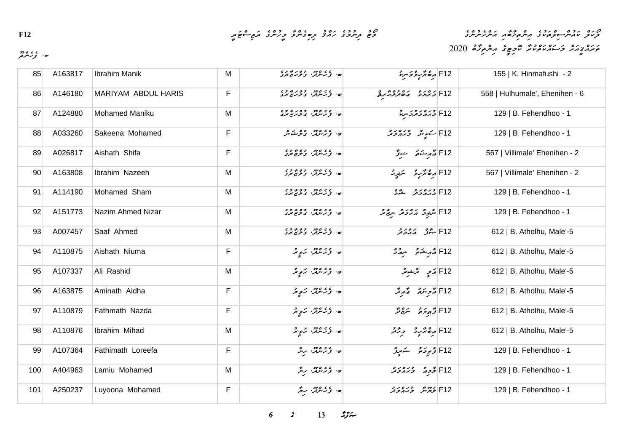*sCw7q7s5w7m< o<n9nOoAw7o< sCq;mAwBoEw7q<m; wBm;vB* م من المرة المرة المرة المرجع المرجع في المركبة 2020<br>مجم*د المريض المربوط المربع المرجع في المراجع المركبة* 

| 85  | A163817 | <b>Ibrahim Manik</b>       | M            | ے ے وجود اور وار والی دی۔<br>ن کی تر سرفران کی مخرجی محری | F12  <sub>مر</sub> ڭ ئ <sup>ې</sup> ر پۇ ئەس <sup>ت</sup> ە | 155   K. Hinmafushi - 2        |
|-----|---------|----------------------------|--------------|-----------------------------------------------------------|-------------------------------------------------------------|--------------------------------|
| 86  | A146180 | <b>MARIYAM ABDUL HARIS</b> | F            | ه وه ده ده ده ده<br>ن ورسربن د وره ده                     | F12 كەممەر مەھەر ئەمەر بەر                                  | 558   Hulhumale', Ehenihen - 6 |
| 87  | A124880 | <b>Mohamed Maniku</b>      | M            | ه وه ده ده ده ده<br>ن ورسربن د وره ده                     | F12 دېرو ترو سره                                            | 129   B. Fehendhoo - 1         |
| 88  | A033260 | Sakeena Mohamed            | $\mathsf F$  | ە ئەرەدە دەخشەر                                           | F12 سَرِيمٌ وَبَرْدُونَدْ                                   | 129   B. Fehendhoo - 1         |
| 89  | A026817 | Aishath Shifa              | $\mathsf F$  | ه وه وه وه وه وه<br>مسؤر سربر و مربع برو                  | F12 مُرِينَهُمُ بِ مِرْدٌ                                   | 567   Villimale' Ehenihen - 2  |
| 90  | A163808 | Ibrahim Nazeeh             | M            | ه و ده ده ده ده.<br>ه و رسربر، و و م مرد                  | F12 م <i>وڭ ئگرى</i> ھەمىر بىر                              | 567   Villimale' Ehenihen - 2  |
| 91  | A114190 | Mohamed Sham               | M            | ه و ده ده ده ده.<br>ه و رسربر، و و بر بر                  | F12 دېم ديمر کې شگړ                                         | 129   B. Fehendhoo - 1         |
| 92  | A151773 | Nazim Ahmed Nizar          | M            | ه وه وه وه وه ده.<br>مسؤر سربر، و موسع برو                | F12 مَنْهُ فِي مَرْكَرَ مِنْ مِنْ مَرْ                      | 129   B. Fehendhoo - 1         |
| 93  | A007457 | Saaf Ahmed                 | M            | ه وه وه وه وه ده.<br>د ورسربر، و مربع برو                 | F12 بثرو مربروتر                                            | 612   B. Atholhu, Male'-5      |
| 94  | A110875 | Aishath Niuma              | $\mathsf F$  | ە ئەرەپى رەپر                                             | F12 مەم شىم سىمەم                                           | 612   B. Atholhu, Male'-5      |
| 95  | A107337 | Ali Rashid                 | M            | ە بىر مەدە ئوپۇ                                           | F12 <i>جَرِيدِ</i> مُحْرَشِ <i>وتَر</i> ُ                   | 612   B. Atholhu, Male'-5      |
| 96  | A163875 | Aminath Aidha              | F            | ە ئەرەپى رەپر                                             | F12 مُّحِسَمُ مُّمَّرِمٌ                                    | 612   B. Atholhu, Male'-5      |
| 97  | A110879 | Fathmath Nazda             | $\mathsf{F}$ | ے ورسرتی کے تر                                            | F12 تُرجوحَر مَنْ مَرَّةٍ مَّرَ                             | 612   B. Atholhu, Male'-5      |
| 98  | A110876 | Ibrahim Mihad              | M            | ه ورس می روم                                              | F12 <sub>مو</sub> ھ <i>مگرچ</i> وگھ                         | 612   B. Atholhu, Male'-5      |
| 99  | A107364 | Fathimath Loreefa          | $\mathsf F$  | ە ئەرەپىتى بەر                                            | F12 رَّجِ دَمَّةَ مَسَمِّرَتَّ                              | 129   B. Fehendhoo - 1         |
| 100 | A404963 | Lamiu Mohamed              | M            | ه ورسربر بهر                                              | F12 تخ <i>وج وبم</i> مونر                                   | 129   B. Fehendhoo - 1         |
| 101 | A250237 | Luyoona Mohamed            | F            | ه ورسربر بهر                                              | F12 وجوشر بالمردونير                                        | 129   B. Fehendhoo - 1         |

 $6$   $3$   $13$   $29$ 

*r> 0 c c*<br>@*. یخ رسم ق*ر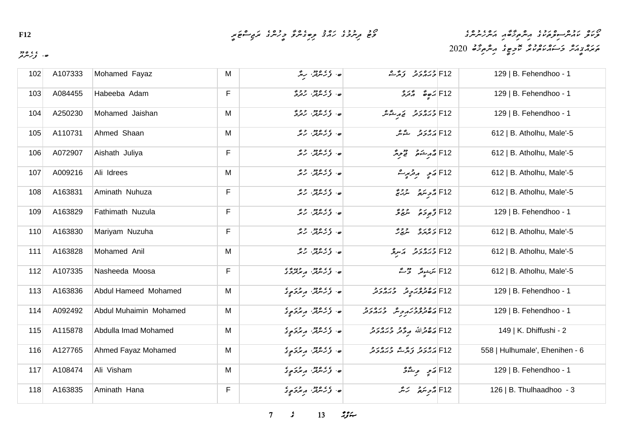*sCw7q7s5w7m< o<n9nOoAw7o< sCq;mAwBoEw7q<m; wBm;vB* م من المرة المرة المرة المرجع المرجع في المركبة 2020<br>مجم*د المريض المربوط المربع المرجع في المراجع المركبة* 

| 102 | A107333 | Mohamed Fayaz          | M           | ه ورسربر بهر                                        | F12 دېمبروتر نوټر شه                               | 129   B. Fehendhoo - 1         |
|-----|---------|------------------------|-------------|-----------------------------------------------------|----------------------------------------------------|--------------------------------|
| 103 | A084455 | Habeeba Adam           | F           | ے ، ورسوپر، دورہ<br>ے ورسوپر، ریوے                  | F12 بَرْصِرَةً مُرْتَزَرْتَ                        | 129   B. Fehendhoo - 1         |
| 104 | A250230 | Mohamed Jaishan        | M           | ے میں دورہ<br>جن و رسوبی رفرو                       | F12 درەرو <sub>قى</sub> م شەھ                      | 129   B. Fehendhoo - 1         |
| 105 | A110731 | Ahmed Shaan            | M           | ە ئەرەپى رو                                         | F12 كەبرى ئىر ئىشىشى بىر                           | 612   B. Atholhu, Male'-5      |
| 106 | A072907 | Aishath Juliya         | F           | ە ئەرەپىيە دەپ                                      | F12 مەم شىم قىم قى                                 | 612   B. Atholhu, Male'-5      |
| 107 | A009216 | Ali Idrees             | M           | ە ئەرەپى رو                                         | F12 <i>ھَ۔ مِعْہِدِ</i> م                          | 612   B. Atholhu, Male'-5      |
| 108 | A163831 | Aminath Nuhuza         | F           | ه ورسربر، دی <sub>گر</sub>                          |                                                    | 612   B. Atholhu, Male'-5      |
| 109 | A163829 | Fathimath Nuzula       | $\mathsf F$ | ے میں بھی ال                                        | F12 ژ <sub>ېم</sub> ونو شي ژ                       | 129   B. Fehendhoo - 1         |
| 110 | A163830 | Mariyam Nuzuha         | F           | ے میں دوسر دی ہے۔<br>جن و رسوبی اربو                | F12 كار مركز مركز                                  | 612   B. Atholhu, Male'-5      |
| 111 | A163828 | Mohamed Anil           | M           | ە ، ئې <i>مەدەرە بېرى</i><br>مەس ئې بەرلىرى بەرلىرى | F12 دېم دېم تر ټرينو                               | 612   B. Atholhu, Male'-5      |
| 112 | A107335 | Nasheeda Moosa         | F           | ه وه وده د ورو و د<br>ه و رسربر از مرتزو د          |                                                    | 612   B. Atholhu, Male'-5      |
| 113 | A163836 | Abdul Hameed Mohamed   | M           | ه ورسربن مرکز در د                                  | F12 בפנגבית במחבת                                  | 129   B. Fehendhoo - 1         |
| 114 | A092492 | Abdul Muhaimin Mohamed | M           | ه ورسربر، مردم و                                    | F12 رەدە در دەرد دەرد                              | 129   B. Fehendhoo - 1         |
| 115 | A115878 | Abdulla Imad Mohamed   | M           | ه . و ه و ده د . و .<br>ه . و رسربر . بر برو . و    | F12 كَرَّةَ مِرْاللَّهُ مِرْدَّمْرَ وَبَرْدَدَوْرَ | 149   K. Dhiffushi - 2         |
| 116 | A127765 | Ahmed Fayaz Mohamed    | M           | ه کی میں میگر می                                    | F12 كەندى تەرەپ يەرەر دېر                          | 558   Hulhumale', Ehenihen - 6 |
| 117 | A108474 | Ali Visham             | M           | ه کی میں میگر می                                    | F12 ړَم ِ مِشَرْ                                   | 129   B. Fehendhoo - 1         |
| 118 | A163835 | Aminath Hana           | F           | ه کی سربل مرکز دی                                   | F12 م <i>گوینده زنگ</i> ر                          | 126   B. Thulhaadhoo - 3       |

*7 sC 13 nNw?mS*

*r o c c*<br>@*. یخ ر* سر تر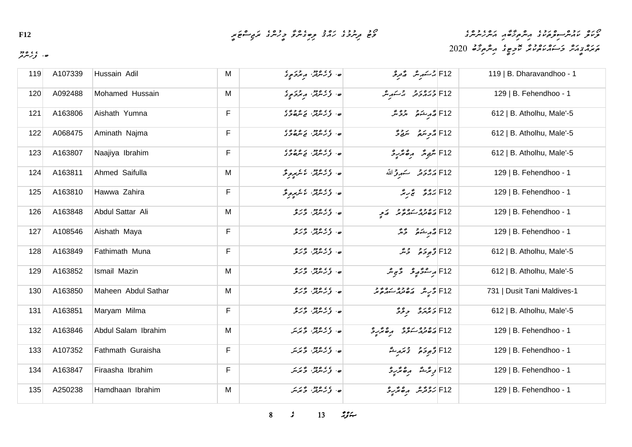*sCw7q7s5w7m< o<n9nOoAw7o< sCq;mAwBoEw7q<m; wBm;vB* م من المرة المرة المرة المرجع المرجع في المركبة 2020<br>مجم*د المريض المربوط المربع المرجع في المراجع المركبة* 

| 119 | A107339 | Hussain Adil        | M            | ھ ژرمندس م <i>برد ک</i> ور                                                                                     | F12  پر شہر شہر م <i>ج</i> مبر محمد میں تقریبات                                                      | 119   B. Dharavandhoo - 1   |
|-----|---------|---------------------|--------------|----------------------------------------------------------------------------------------------------------------|------------------------------------------------------------------------------------------------------|-----------------------------|
| 120 | A092488 | Mohamed Hussain     | M            | ه ورسربن متردمی                                                                                                | F12 <i>32828 يُرْسُوبِيْر</i>                                                                        | 129   B. Fehendhoo - 1      |
| 121 | A163806 | Aishath Yumna       | $\mathsf{F}$ | ے ے مجمد ہے ہے ۔<br>ن کی سربل کے سرحانی ک                                                                      | F12 مَگْرِسْتَمْ مِنْ مَرْدْ مَدْ                                                                    | 612   B. Atholhu, Male'-5   |
| 122 | A068475 | Aminath Najma       | $\mathsf F$  | ے میں دوسر دوسرے<br>حادثی مریض کے سرح مری                                                                      | F12 مُجِسَعُ مَنْ يَحْرُ                                                                             | 612   B. Atholhu, Male'-5   |
| 123 | A163807 | Naajiya Ibrahim     | F            | ے ے مجمد رہے جو دی<br>حسن کی سرحدی                                                                             | F12 مُتَّبِعٍ مُّسْ مِنْ مُحَمَّدٍ فِّنَ                                                             | 612   B. Atholhu, Male'-5   |
| 124 | A163811 | Ahmed Saifulla      | M            | ە ئۇرلىرى ئاسىروگ                                                                                              | F12 <i>مَدْوَمَّر سَمبِ</i> وْاللَّه                                                                 | 129   B. Fehendhoo - 1      |
| 125 | A163810 | Hawwa Zahira        | F            | ە بۇرىرى مەمدىرە ئ                                                                                             | F12 بَرْدُوَّ گَمْ بِرَنَّز                                                                          | 129   B. Fehendhoo - 1      |
| 126 | A163848 | Abdul Sattar Ali    | M            | ه ورسربن ورو                                                                                                   | F12 كەھەرمەم كەمبە ب                                                                                 | 129   B. Fehendhoo - 1      |
| 127 | A108546 | Aishath Maya        | F            | ے میں مرد ہے۔                                                                                                  | F12 مەم ئەتەر ئەم                                                                                    | 129   B. Fehendhoo - 1      |
| 128 | A163849 | Fathimath Muna      | F            | ے میں مرور کا انداز کا انداز کے بات کے انداز کے میں انداز کے میں ان کے انداز کے میں ان کے میں ان کے ان کے ان ک | F12 <i>وُجِ دَيْر</i> حَيْرَ                                                                         | 612   B. Atholhu, Male'-5   |
| 129 | A163852 | Ismail Mazin        | M            | ە ، ئەرەپىي ئەرە                                                                                               | F12  <sub>مر</sub> شۇ <sub>م</sub> پۇ گىمپ                                                           | 612   B. Atholhu, Male'-5   |
| 130 | A163850 | Maheen Abdul Sathar | M            | ه ورسمبر ورو                                                                                                   | F12 ۇرى <i>ر مەدەبىرە بو</i>                                                                         | 731   Dusit Tani Maldives-1 |
| 131 | A163851 | Maryam Milma        | F            | ے میں مرد کے درو                                                                                               | F12 كانترنتر محركة المحمدة المحمدة المحمدة المحمدة المحمدة بالمحمدة المناسية بين المحمدة المحمدة الم | 612   B. Atholhu, Male'-5   |
| 132 | A163846 | Abdul Salam Ibrahim | M            | ە ئەر بىرى ئەرىر                                                                                               | F12 <sub>م</sub> ەمەرەك ئۇق مەھەرد                                                                   | 129   B. Fehendhoo - 1      |
| 133 | A107352 | Fathmath Guraisha   | F            | ە بۇرلىرى ئەرىر                                                                                                | F12 وَج <i>وحَمْ تَحْمَدِ</i> ثَمَّ                                                                  | 129   B. Fehendhoo - 1      |
| 134 | A163847 | Firaasha Ibrahim    | F            | ە . ئەرەدە . ئەيرىر                                                                                            | F12 وِیَّرْٹَہُ مِیْگُرِدُّ                                                                          | 129   B. Fehendhoo - 1      |
| 135 | A250238 | Hamdhaan Ibrahim    | M            | ە بىر ئەرەم ئەرىر                                                                                              | F12 كەق <i>ۇش مەھگرى</i> دۇ                                                                          | 129   B. Fehendhoo - 1      |

**8** *s* **13** *z***<sub>***s***</sub>** *z***<sub></sub>**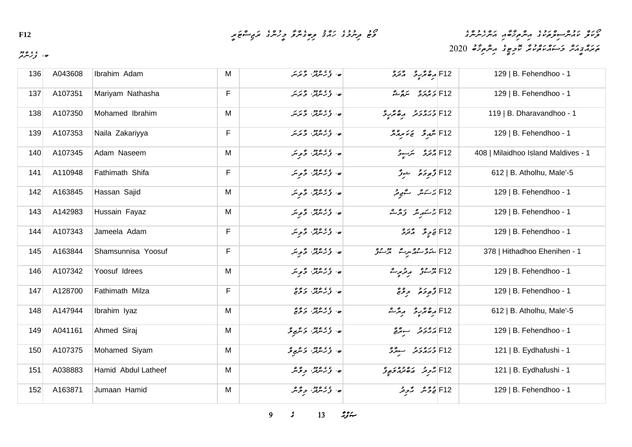*sCw7q7s5w7m< o<n9nOoAw7o< sCq;mAwBoEw7q<m; wBm;vB* م من المرة المرة المرة المرجع المرجع في المركبة 2020<br>مجم*د المريض المربوط المربع المرجع في المراجع المركبة* 

| 136 | A043608 | Ibrahim Adam        | M           | ھ ژر سربر ڈبربر                                | F12 م <i>ِنڠتَرُبِ</i> رْ مَ <i>ُنَزَدْ</i>         | 129   B. Fehendhoo - 1              |
|-----|---------|---------------------|-------------|------------------------------------------------|-----------------------------------------------------|-------------------------------------|
| 137 | A107351 | Mariyam Nathasha    | $\mathsf F$ | ە ئەرەدە ئەرىر                                 | F12 كَرْبَرْدْ سَهَّرْتُهُ                          | 129   B. Fehendhoo - 1              |
| 138 | A107350 | Mohamed Ibrahim     | M           | ە بىر مەدەپ ئەرىر                              | F12 <i>وُبَهُ وَوَفَرٍ مِنْ مُرَّبِ</i> وَ          | 119   B. Dharavandhoo - 1           |
| 139 | A107353 | Naila Zakariyya     | F           | ە ئەرەدە ئەرىر                                 | F12 سَمَدِ حَسَّ بِرَ يَهُمْ بِرَ يَزْ الْمَرْدِينَ | 129   B. Fehendhoo - 1              |
| 140 | A107345 | Adam Naseem         | M           | ە ئەرسى ئۇمىر                                  | F12 كەتىرى سىرسىرى                                  | 408   Milaidhoo Island Maldives - 1 |
| 141 | A110948 | Fathimath Shifa     | F           | ە ئەرسى ئۇمىر                                  | F12 <i>وُجِ دَمُ</i> شِع <i>ِرٌ</i>                 | 612   B. Atholhu, Male'-5           |
| 142 | A163845 | Hassan Sajid        | M           | ە ، ئەرەپىر، ئۇمەتر                            | F12   پرسترش مست <i>نفی ف</i> ر                     | 129   B. Fehendhoo - 1              |
| 143 | A142983 | Hussain Fayaz       | M           | ە ئەرەپىقى ئەرىكە                              | F12 پرستمبر ترتژشہ                                  | 129   B. Fehendhoo - 1              |
| 144 | A107343 | Jameela Adam        | F           | ە ئەرسەت ئەرىتر                                | F12  ت <sub>َ</sub> حٍوِمَّة مُحَمَّدً              | 129   B. Fehendhoo - 1              |
| 145 | A163844 | Shamsunnisa Yoosuf  | F           | ە ئەرسى ئۇمەر                                  | F12 خەرمىق ھەر بۇر مۇسىز <i>ۇ</i>                   | 378   Hithadhoo Ehenihen - 1        |
| 146 | A107342 | Yoosuf Idrees       | M           | ە ئەرسى ئۇمىر                                  | F12 ترقسق مرتز پر شر                                | 129   B. Fehendhoo - 1              |
| 147 | A128700 | Fathimath Milza     | F           | ه . ی م وجه . د وه<br>د . تو ر سربر ، تر تر بع | F12 <i>وُّجِودَة</i> وِحْيَّ                        | 129   B. Fehendhoo - 1              |
| 148 | A147944 | Ibrahim Iyaz        | M           | ے ورسربن کروہ                                  | F12 مەھم <i>گرى</i> ھەمگەشە                         | 612   B. Atholhu, Male'-5           |
| 149 | A041161 | Ahmed Siraj         | M           | ے ورس کر گھریم کی                              | F12 كەندى قىرىقىسىتىدىنى ئىستان                     | 129   B. Fehendhoo - 1              |
| 150 | A107375 | Mohamed Siyam       | M           | ے ورس کر گھریم کی                              | F12 دېرونه سوره                                     | 121   B. Eydhafushi - 1             |
| 151 | A038883 | Hamid Abdul Latheef | M           | ه ورس و وه                                     | F12 جُعِيدُ صَرَّوفَ مِعْ وَصَدَّمَ وَ              | 121   B. Eydhafushi - 1             |
| 152 | A163871 | Jumaan Hamid        | M           | ە ئەرسى جۇش                                    | F12 ت <sub>ح</sub> وثر گ <sub>ے ج</sub> وثر         | 129   B. Fehendhoo - 1              |

*9 s* 13 *i*<sub>s</sub>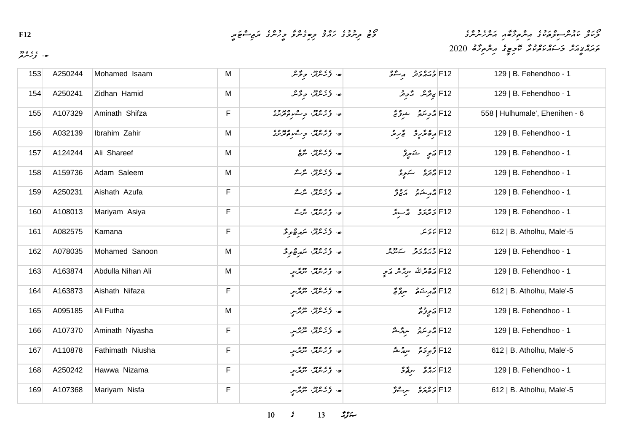*sCw7q7s5w7m< o<n9nOoAw7o< sCq;mAwBoEw7q<m; wBm;vB* م من المرة المرة المرة المرجع المرجع في المركبة 2020<br>مجم*د المريض المربوط المربع المرجع في المراجع المركبة* 

| 153 | A250244 | Mohamed Isaam     | M            | ه ورسرتر، دِ ژمر       | F12  3 <i>5222 به سگ</i> و                | 129   B. Fehendhoo - 1         |
|-----|---------|-------------------|--------------|------------------------|-------------------------------------------|--------------------------------|
| 154 | A250241 | Zidhan Hamid      | M            | ه ورسرتر، دِ ژمر       | F12  ي <sub>ج</sub> وگرنگر گر <i>وچ</i> ر | 129   B. Fehendhoo - 1         |
| 155 | A107329 | Aminath Shifza    | F            | ه ورس د ور مرد ده      | F12 مُرْحِسَمُ مُ مُورْحٌ                 | 558   Hulhumale', Ehenihen - 6 |
| 156 | A032139 | Ibrahim Zahir     | M            | ه ورس ده ده وروده ور   | F12 مەھم <i>گى</i> رى ت <sub>ە</sub> رىمە | 129   B. Fehendhoo - 1         |
| 157 | A124244 | Ali Shareef       | M            | ە ئەرەدە بەھ           | F12 <i>ڇُجِ حُمَيِّرُوْ</i>               | 129   B. Fehendhoo - 1         |
| 158 | A159736 | Adam Saleem       | M            | ە ئەرەدە ئەر           | F12 مُحَمَّدٌ سَمَوِدٌ                    | 129   B. Fehendhoo - 1         |
| 159 | A250231 | Aishath Azufa     | F            | ە بىر مەدەر بۇ ش       | F12 مەم ئىسىم ئىسى تىرىخ                  | 129   B. Fehendhoo - 1         |
| 160 | A108013 | Mariyam Asiya     | $\mathsf F$  | ە ئ <i>ۇرىدى مەشق</i>  | F12 دېمه د گه-گ                           | 129   B. Fehendhoo - 1         |
| 161 | A082575 | Kamana            | F            | ە · ئەر مەدە سىر ھوڭ   | $555$ F12                                 | 612   B. Atholhu, Male'-5      |
| 162 | A078035 | Mohamed Sanoon    | M            | ە بىر مەدەبە ئىكرە ھوڭ | F12 دېرونه خش                             | 129   B. Fehendhoo - 1         |
| 163 | A163874 | Abdulla Nihan Ali | M            | ە ئەرەدە «ئەر          | F12 كَدَهْتَدَاللَّهُ سِرَتْكَرْ مَهْجِ   | 129   B. Fehendhoo - 1         |
| 164 | A163873 | Aishath Nifaza    | $\mathsf{F}$ | ە ئەرەردە «ئەر         | F12 مَدْمِسْنَعْمْ سِدَّيَّ               | 612   B. Atholhu, Male'-5      |
| 165 | A095185 | Ali Futha         | M            | ه ورسربر معرض          | F12 <sub>مَج</sub> ورُمَّ                 | 129   B. Fehendhoo - 1         |
| 166 | A107370 | Aminath Niyasha   | $\mathsf{F}$ | ە ئەرەدە «ئەر          | F12 أُمُّ حِسَمٌ مِسَرَّسَةٌ              | 129   B. Fehendhoo - 1         |
| 167 | A110878 | Fathimath Niusha  | $\mathsf F$  | ه ورسربر معرض          | F12 رَّجِودَةُ سِهْتُهُ                   | 612   B. Atholhu, Male'-5      |
| 168 | A250242 | Hawwa Nizama      | F            | ے ور سربر، شریر س      | F12 يَرْدُوَّ سِتَرَدَّ                   | 129   B. Fehendhoo - 1         |
| 169 | A107368 | Mariyam Nisfa     | F            | ه ورسرتر، مرتر مر      | F12 <i>وَبُرْمَرْ فِي سِرْمَوْتُ</i>      | 612   B. Atholhu, Male'-5      |

*10 s 13 <i>n*<sub>s</sub>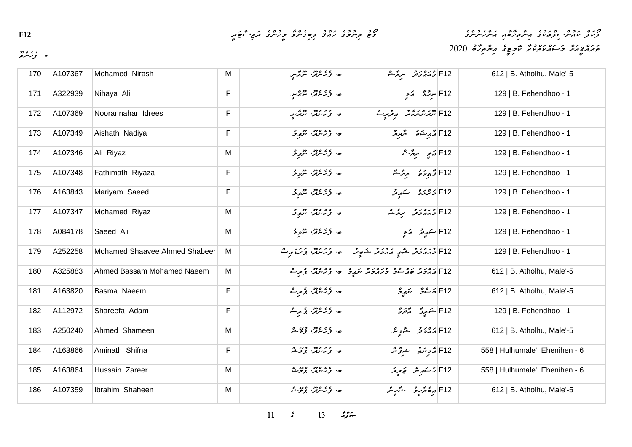*sCw7q7s5w7m< o<n9nOoAw7o< sCq;mAwBoEw7q<m; wBm;vB* م من المرة المرة المرة المرجع المرجع في المركبة 2020<br>مجم*د المريض المربوط المربع المرجع في المراجع المركبة* 

| 170 | A107367 | Mohamed Nirash                | M            | ے ور سربر، شریر سر<br>مستقرر سربر، شریر سر               | F12 <i>وُيَدُوُوَ</i> تَرُ سِرَيْرُتْ ِ                | 612   B. Atholhu, Male'-5      |
|-----|---------|-------------------------------|--------------|----------------------------------------------------------|--------------------------------------------------------|--------------------------------|
| 171 | A322939 | Nihaya Ali                    | F            | ه ورسرتر، مرتر بر                                        | F12 س <i>رنڈنڈ م</i> َی ج                              | 129   B. Fehendhoo - 1         |
| 172 | A107369 | Noorannahar Idrees            | $\mathsf{F}$ | ه ورسرتر، مریگیر                                         | F12 ترىرىدىر <i>گەنى مەمرىي</i> م                      | 129   B. Fehendhoo - 1         |
| 173 | A107349 | Aishath Nadiya                | $\mathsf{F}$ | ے ورسرتی سرور                                            | F12 مُدمِسْمَة مُرْمَدِيَّر                            | 129   B. Fehendhoo - 1         |
| 174 | A107346 | Ali Riyaz                     | M            | ے محمد اللہ اللہ وہ اللہ ہے۔<br>حصہ اللہ مرید اللہ سرج ک | F12 کی میٹر میں م                                      | 129   B. Fehendhoo - 1         |
| 175 | A107348 | Fathimath Riyaza              | $\mathsf F$  | ے محدود اللہ ہے۔<br>جو اور سربر اللہ سرج م               | F12 أَوَّجِ دَمَّةَ مَسِّرَّتَّةَ ۖ                    | 129   B. Fehendhoo - 1         |
| 176 | A163843 | Mariyam Saeed                 | F            | ه ورسري مړيو                                             | F12 وَيُرْبَرُوْ سَمَدٍيْرُ                            | 129   B. Fehendhoo - 1         |
| 177 | A107347 | Mohamed Riyaz                 | M            | ے محدود اللہ میں اللہ ہونے                               | F12 <i>وُبرودو برو</i> ْت                              | 129   B. Fehendhoo - 1         |
| 178 | A084178 | Saeed Ali                     | M            | ے مور میں معروف                                          | F12 ڪ <i>وپٽر م</i> َڪو                                | 129   B. Fehendhoo - 1         |
| 179 | A252258 | Mohamed Shaavee Ahmed Shabeer | M            |                                                          | F12 وبرورو مقوم برورو مقصر من ورود وبروره              | 129   B. Fehendhoo - 1         |
| 180 | A325883 | Ahmed Bassam Mohamed Naeem    | M            |                                                          |                                                        | 612   B. Atholhu, Male'-5      |
| 181 | A163820 | Basma Naeem                   | $\mathsf{F}$ | ه ورس و بره                                              | F12 صَمِيرٌ سَمِيرٌ                                    | 612   B. Atholhu, Male'-5      |
| 182 | A112972 | Shareefa Adam                 | $\mathsf{F}$ | ه ورس و بره                                              | F12 ش <i>ەمبەر مەم</i> ترى                             | 129   B. Fehendhoo - 1         |
| 183 | A250240 | Ahmed Shameen                 | M            | ە ئەرەردە ئەي ھ                                          | F12 <i>גُرُوَتْرَ</i> حُمَّوِسُ                        | 612   B. Atholhu, Male'-5      |
| 184 | A163866 | Aminath Shifna                | $\mathsf F$  | ە بۇرسىتى ئۇنۇپ                                          | F12 مُرْحِبَتِهُمْ سُورْتُثَر                          | 558   Hulhumale', Ehenihen - 6 |
| 185 | A163864 | Hussain Zareer                | M            | ە ئەرەردە دەرە<br>ھەنۇر سرىرى بۇ ئۇس                     | F12 پر کے مریمہ ہے مریمہ                               | 558   Hulhumale', Ehenihen - 6 |
| 186 | A107359 | Ibrahim Shaheen               | M            | ه ور سربر، ودر ه<br>د ور سربر، وتوش                      | F12 <sub>م</sub> ەمگ <sup>ىرو</sup> ش <sup>ە</sup> رىر | 612   B. Atholhu, Male'-5      |

 $11$  *s*  $13$  *n***<sub>y</sub>**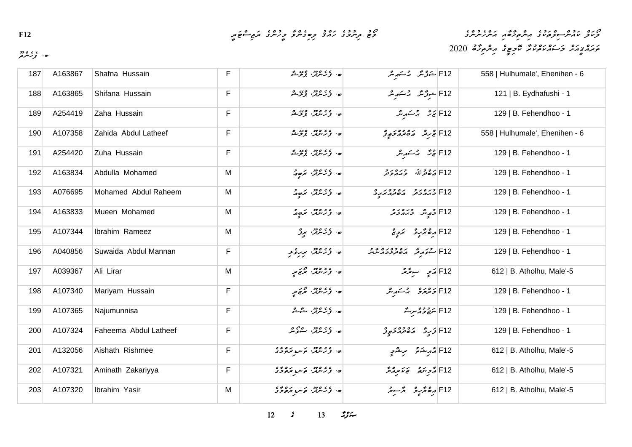*sCw7q7s5w7m< o<n9nOoAw7o< sCq;mAwBoEw7q<m; wBm;vB* م من المرة المرة المرة المرجع المرجع في المركبة 2020<br>مجم*د المريض المربوط المربع المرجع في المراجع المركبة* 

| 187 | A163867 | Shafna Hussain        | F           | ے ور مرکز ، وی ہے                  | F12 شۇرىگە ج <i>ىسكى</i> رىگە              | 558   Hulhumale', Ehenihen - 6 |
|-----|---------|-----------------------|-------------|------------------------------------|--------------------------------------------|--------------------------------|
| 188 | A163865 | Shifana Hussain       | F           | ه زرمرتز، ژوَنه                    | F12 حو <i>رٌ مَّرْ بُرْسَهُ بِ</i> رْ      | 121   B. Eydhafushi - 1        |
| 189 | A254419 | Zaha Hussain          | $\mathsf F$ | ه ورس دو وره وره و.<br>د ورس بولوگ | F12 نجرش برشہر شر                          | 129   B. Fehendhoo - 1         |
| 190 | A107358 | Zahida Abdul Latheef  | $\mathsf F$ | ه ورس وه وره و                     | F12 ئج بەنتر بەھ <i>قەھ قەھ</i> بۇ         | 558   Hulhumale', Ehenihen - 6 |
| 191 | A254420 | Zuha Hussain          | F           | ے ، ورد وی و                       | F12 ج حج محمد شهر شر                       | 129   B. Fehendhoo - 1         |
| 192 | A163834 | Abdulla Mohamed       | M           | ه ورسوس نره و                      | F12 مَەھْتَراللە جەمەدىر                   | 129   B. Fehendhoo - 1         |
| 193 | A076695 | Mohamed Abdul Raheem  | M           | ه ورسوس نره و                      | F12 دره ده بره ده بر و                     | 129   B. Fehendhoo - 1         |
| 194 | A163833 | Mueen Mohamed         | M           | ه ورسوس نره و                      | F12 <sub>ح</sub> ثم محدد در در د           | 129   B. Fehendhoo - 1         |
| 195 | A107344 | Ibrahim Rameez        | M           | ه ورسربي برو                       | F12 م <i>وڭ ئۇر</i> ق ئىچ قى               | 129   B. Fehendhoo - 1         |
| 196 | A040856 | Suwaida Abdul Mannan  | $\mathsf F$ | ه ورس مع مرد و                     | F12 جوړې په مصر <i>د وه مرگ</i> ر          | 129   B. Fehendhoo - 1         |
| 197 | A039367 | Ali Lirar             | M           | ے ، وہ مصر<br>ے ورسویں مریخ می     | F12  رَمِ سَعِمَّةَ                        | 612   B. Atholhu, Male'-5      |
| 198 | A107340 | Mariyam Hussain       | F           | ه کوربرود می                       | F12 كانتر مركز بالمستقر مثر المحمد المستقر | 129   B. Fehendhoo - 1         |
| 199 | A107365 | Najumunnisa           | $\mathsf F$ | ے ورسرتر، شگش                      | F12 سَهْءُ مُرْمَ سِرَ مَشَرِ              | 129   B. Fehendhoo - 1         |
| 200 | A107324 | Faheema Abdul Latheef | $\mathsf F$ | ە ، ئەمەدە ، مەھ                   | F12 كَرَبِرَةُ مَتَصْفَرْ مُرْجَعِ وْ      | 129   B. Fehendhoo - 1         |
| 201 | A132056 | Aishath Rishmee       | F           | ه ورسمبر مسع مره وه                | F12 مُدِينَة مِرْشُورٍ                     | 612   B. Atholhu, Male'-5      |
| 202 | A107321 | Aminath Zakariyya     | F           | ه کی مرد که سو مرد و د             | F12 أُمُّ حِسَمَةً بِمَ مَعِيهِ مَمَّ      | 612   B. Atholhu, Male'-5      |
| 203 | A107320 | Ibrahim Yasir         | M           | ه کام وجود کام بروج د              | F12 م <i>وڭ ئۇرى مۇسى</i> تر               | 612   B. Atholhu, Male'-5      |

*12 s 13 <i>n*<sub>s</sub>

*r> 0 c c*<br>@*. یخ رسم ق*ر